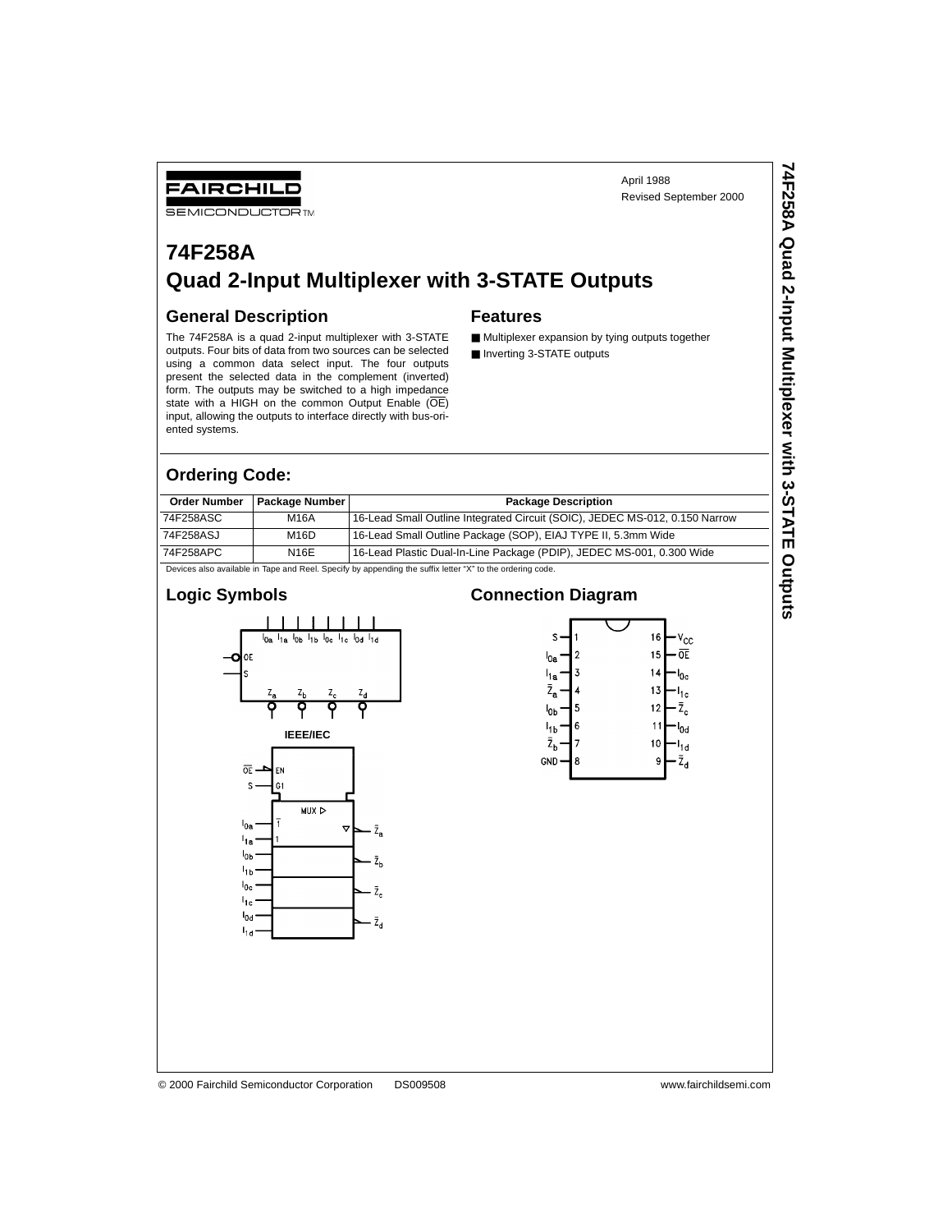**74F258A Quad 2-Input Multiplexer with 3-STATE Outputs**

74F258A Quad 2-Input Multiplexer with 3-STATE Outputs

## **74F258A Quad 2-Input Multiplexer with 3-STATE Outputs**

#### **General Description**

FAIRCHILD **SEMICONDUCTOR TM** 

The 74F258A is a quad 2-input multiplexer with 3-STATE outputs. Four bits of data from two sources can be selected using a common data select input. The four outputs present the selected data in the complement (inverted) form. The outputs may be switched to a high impedance state with a HIGH on the common Output Enable (OE) input, allowing the outputs to interface directly with bus-oriented systems.

### **Ordering Code:**

| <b>Order Number</b> | <b>Package Number</b> | <b>Package Description</b>                                                  |
|---------------------|-----------------------|-----------------------------------------------------------------------------|
| 74F258ASC           | M16A                  | 16-Lead Small Outline Integrated Circuit (SOIC), JEDEC MS-012, 0.150 Narrow |
| 74F258ASJ           | M16D                  | 16-Lead Small Outline Package (SOP), EIAJ TYPE II, 5.3mm Wide               |
| 74F258APC           | <b>N16E</b>           | 16-Lead Plastic Dual-In-Line Package (PDIP), JEDEC MS-001, 0.300 Wide       |

**Features**

■ Inverting 3-STATE outputs

Devices also available in Tape and Reel. Specify by appending the suffix letter "X" to the ordering code.

#### **Logic Symbols**



#### **Connection Diagram**

■ Multiplexer expansion by tying outputs together

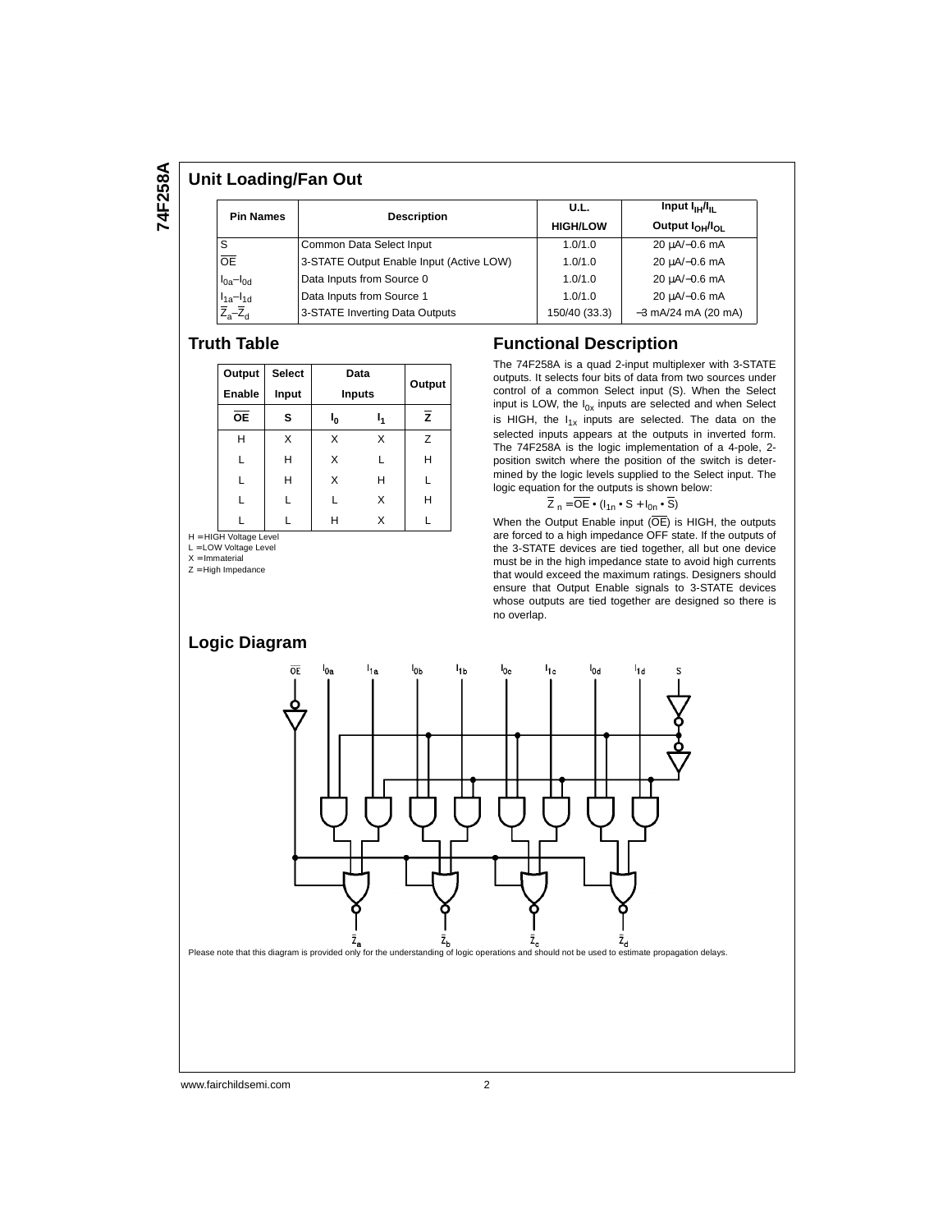## 74F258A **74F258A**

#### **Unit Loading/Fan Out**

| <b>Pin Names</b>                      | <b>Description</b>                       | U.L.            | Input $I_{\rm HI}/I_{\rm H}$            |  |  |
|---------------------------------------|------------------------------------------|-----------------|-----------------------------------------|--|--|
|                                       |                                          | <b>HIGH/LOW</b> | Output I <sub>OH</sub> /I <sub>OI</sub> |  |  |
| Is.                                   | Common Data Select Input                 | 1.0/1.0         | 20 µA/-0.6 mA                           |  |  |
| <b>OE</b>                             | 3-STATE Output Enable Input (Active LOW) | 1.0/1.0         | 20 µA/-0.6 mA                           |  |  |
| $I_{0a} - I_{0d}$                     | Data Inputs from Source 0                | 1.0/1.0         | 20 µA/-0.6 mA                           |  |  |
| $I_{1a} - I_{1d}$                     | Data Inputs from Source 1                | 1.0/1.0         | 20 µA/-0.6 mA                           |  |  |
| $\overline{Z}_{a} - \overline{Z}_{d}$ | 3-STATE Inverting Data Outputs           | 150/40 (33.3)   | $-3$ mA/24 mA (20 mA)                   |  |  |

## **Truth Table**

| Output          | <b>Select</b> | Data                 |   | Output         |  |
|-----------------|---------------|----------------------|---|----------------|--|
| Enable          | Input         | Inputs               |   |                |  |
| $\overline{OE}$ | s             | ı <sub>o</sub><br>ı, |   | $\overline{z}$ |  |
| H               | X             | X                    | X | Z              |  |
|                 | H             | X                    | L | н              |  |
| L               | н             | X                    | Н |                |  |
|                 | L             |                      | X | н              |  |
|                 |               | н                    | X |                |  |

H = HIGH Voltage Level<br>L = LOW Voltage Level

 $X = Immateria$ 

Z = High Impedance

#### **Functional Description**

The 74F258A is a quad 2-input multiplexer with 3-STATE outputs. It selects four bits of data from two sources under control of a common Select input (S). When the Select input is LOW, the  $I_{0x}$  inputs are selected and when Select is HIGH, the  $I_{1x}$  inputs are selected. The data on the selected inputs appears at the outputs in inverted form. The 74F258A is the logic implementation of a 4-pole, 2 position switch where the position of the switch is determined by the logic levels supplied to the Select input. The logic equation for the outputs is shown below:

$$
\overline{Z}_n = \overline{OE} \cdot (I_{1n} \cdot S + I_{0n} \cdot \overline{S})
$$

When the Output Enable input  $(\overline{OE})$  is HIGH, the outputs are forced to a high impedance OFF state. If the outputs of the 3-STATE devices are tied together, all but one device must be in the high impedance state to avoid high currents that would exceed the maximum ratings. Designers should ensure that Output Enable signals to 3-STATE devices whose outputs are tied together are designed so there is no overlap.



www.fairchildsemi.com 2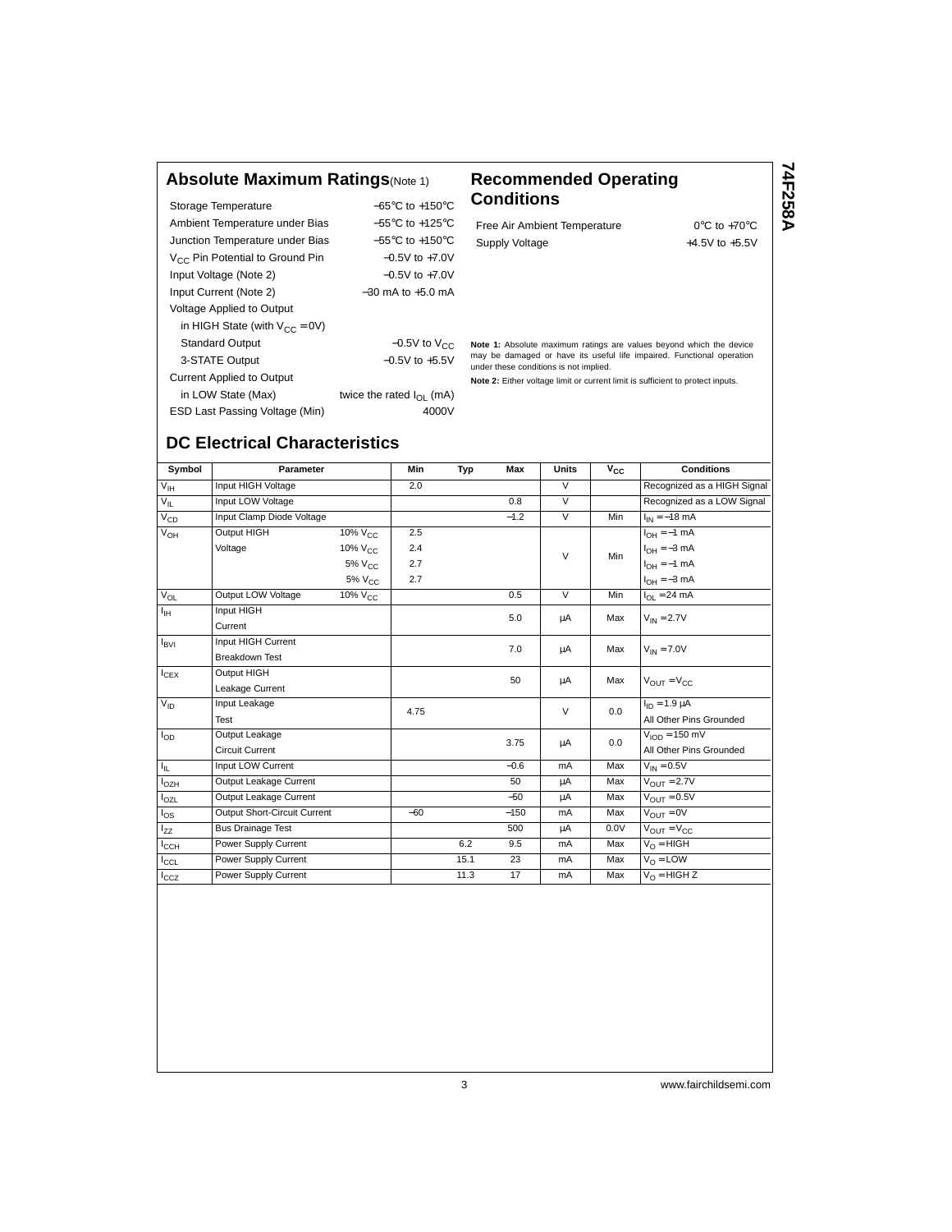### **Absolute Maximum Ratings**(Note 1) **Recommended Operating**

| Storage Temperature                         | $-65^{\circ}$ C to $+150^{\circ}$ C |  |  |  |  |
|---------------------------------------------|-------------------------------------|--|--|--|--|
| Ambient Temperature under Bias              | $-55^{\circ}$ C to $+125^{\circ}$ C |  |  |  |  |
| Junction Temperature under Bias             | $-55^{\circ}$ C to $+150^{\circ}$ C |  |  |  |  |
| V <sub>CC</sub> Pin Potential to Ground Pin | $-0.5V$ to $+7.0V$                  |  |  |  |  |
| Input Voltage (Note 2)                      | $-0.5V$ to $+7.0V$                  |  |  |  |  |
| Input Current (Note 2)                      | $-30$ mA to $+5.0$ mA               |  |  |  |  |
| Voltage Applied to Output                   |                                     |  |  |  |  |
| in HIGH State (with $V_{CC} = 0V$ )         |                                     |  |  |  |  |
| <b>Standard Output</b>                      | $-0.5V$ to $V_{CC}$                 |  |  |  |  |
| 3-STATE Output                              | $-0.5V$ to $+5.5V$                  |  |  |  |  |
| <b>Current Applied to Output</b>            |                                     |  |  |  |  |
| in LOW State (Max)                          | twice the rated $I_{\Omega}$ (mA)   |  |  |  |  |
| ESD Last Passing Voltage (Min)              | 4000V                               |  |  |  |  |

# **Conditions**

Free Air Ambient Temperature 0°C to +70°C Supply Voltage  $+4.5V$  to  $+5.5V$  74F258A **74F258A**

**Note 1:** Absolute maximum ratings are values beyond which the device may be damaged or have its useful life impaired. Functional operation under these conditions is not implied.

**Note 2:** Either voltage limit or current limit is sufficient to protect inputs.

## **DC Electrical Characteristics**

| Symbol           | Parameter                    |                        | Min   | Typ  | Max    | <b>Units</b>   | $V_{\rm CC}$ | <b>Conditions</b>                |
|------------------|------------------------------|------------------------|-------|------|--------|----------------|--------------|----------------------------------|
| $V_{\text{IH}}$  | Input HIGH Voltage           |                        | 2.0   |      |        | $\vee$         |              | Recognized as a HIGH Signal      |
| $V_{IL}$         | Input LOW Voltage            |                        |       |      | 0.8    | $\overline{V}$ |              | Recognized as a LOW Signal       |
| $V_{CD}$         | Input Clamp Diode Voltage    |                        |       |      | $-1.2$ | $\overline{V}$ | Min          | $I_{IN} = -18$ mA                |
| $V_{OH}$         | Output HIGH                  | $10\%$ V <sub>CC</sub> | 2.5   |      |        |                |              | $I_{OH} = -1$ mA                 |
|                  | Voltage                      | 10% V <sub>CC</sub>    | 2.4   |      |        | $\vee$         | Min          | $I_{OH} = -3 mA$                 |
|                  |                              | 5% V <sub>CC</sub>     | 2.7   |      |        |                |              | $I_{OH} = -1$ mA                 |
|                  |                              | 5% V <sub>CC</sub>     | 2.7   |      |        |                |              | $I_{OH} = -3 mA$                 |
| $V_{OL}$         | Output LOW Voltage           | $10\%$ V <sub>CC</sub> |       |      | 0.5    | $\vee$         | Min          | $I_{OL}$ = 24 mA                 |
| Ιщ               | Input HIGH                   |                        |       |      | 5.0    | μA             | Max          | $V_{IN} = 2.7V$                  |
|                  | Current                      |                        |       |      |        |                |              |                                  |
| l <sub>BVI</sub> | Input HIGH Current           |                        |       |      | 7.0    | μA             | Max          | $V_{IN} = 7.0V$                  |
|                  | <b>Breakdown Test</b>        |                        |       |      |        |                |              |                                  |
| $I_{CEX}$        | Output HIGH                  |                        |       |      | 50     | μA             | Max          | $V_{\text{OUT}} = V_{\text{CC}}$ |
|                  | Leakage Current              |                        |       |      |        |                |              |                                  |
| $V_{ID}$         | Input Leakage                |                        | 4.75  |      |        | $\vee$         | 0.0          | $I_{ID} = 1.9 \mu A$             |
|                  | Test                         |                        |       |      |        |                |              | All Other Pins Grounded          |
| $I_{OD}$         | Output Leakage               |                        |       |      | 3.75   | μA             | 0.0          | $VION = 150 mV$                  |
|                  | <b>Circuit Current</b>       |                        |       |      |        |                |              | All Other Pins Grounded          |
| Ι'n.             | Input LOW Current            |                        |       |      | $-0.6$ | mA             | Max          | $V_{IN} = 0.5V$                  |
| $I_{OZH}$        | Output Leakage Current       |                        |       |      | 50     | μA             | Max          | $V_{OIII} = 2.7V$                |
| $I_{OZL}$        | Output Leakage Current       |                        |       |      | $-50$  | μA             | Max          | $V_{\text{OUT}} = 0.5V$          |
| $I_{OS}$         | Output Short-Circuit Current |                        | $-60$ |      | $-150$ | mA             | Max          | $V_{\text{OUT}} = 0V$            |
| l <sub>zz</sub>  | <b>Bus Drainage Test</b>     |                        |       |      | 500    | μA             | 0.0V         | $V_{\text{OUT}} = V_{\text{CC}}$ |
| $I_{\rm CCH}$    | Power Supply Current         |                        |       | 6.2  | 9.5    | mA             | Max          | $V_{\Omega}$ = HIGH              |
| ICCL             | Power Supply Current         |                        |       | 15.1 | 23     | mA             | Max          | $V_{\Omega}$ = LOW               |
| $I_{CCZ}$        | Power Supply Current         |                        |       | 11.3 | 17     | mA             | Max          | $V_{\Omega}$ = HIGH Z            |